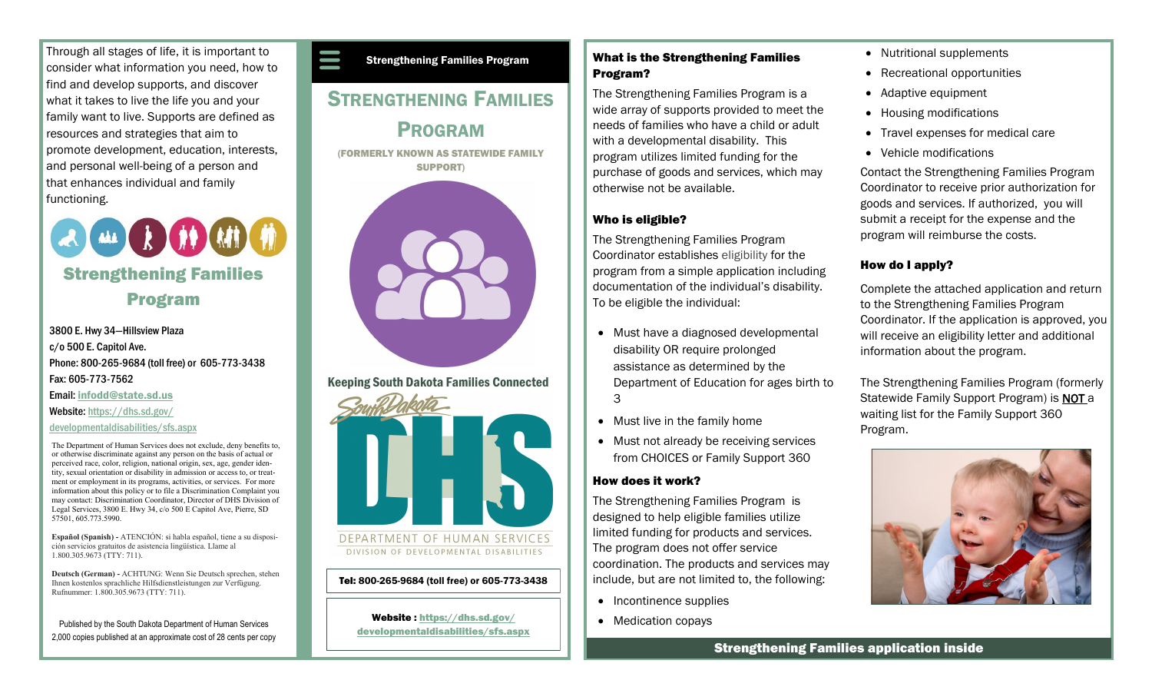Through all stages of life, it is important to consider what information you need, how to find and develop supports, and discover what it takes to live the life you and your family want to live. Supports are defined as resources and strategies that aim to promote development, education, interests, and personal well-being of a person and that enhances individual and family functioning.



3800 E. Hwy 34—Hillsview Plaza c/o 500 E. Capitol Ave. Phone: 800-265-9684 (toll free) or 605-773-3438 Fax: 605-773-7562 Email: [infodd@state.sd.us](mailto:%20infodd@state.sd.us) Website: [https://dhs.sd.gov/](https://dhs.sd.gov/developmentaldisabilities/sfs.aspx)

#### [developmentaldisabilities/sfs.aspx](https://dhs.sd.gov/developmentaldisabilities/sfs.aspx)

The Department of Human Services does not exclude, deny benefits to, or otherwise discriminate against any person on the basis of actual or perceived race, color, religion, national origin, sex, age, gender identity, sexual orientation or disability in admission or access to, or treatment or employment in its programs, activities, or services. For more information about this policy or to file a Discrimination Complaint you may contact: Discrimination Coordinator, Director of DHS Division of Legal Services, 3800 E. Hwy 34, c/o 500 E Capitol Ave, Pierre, SD 57501, 605.773.5990.

**Español (Spanish) -** ATENCIÓN: si habla español, tiene a su disposición servicios gratuitos de asistencia lingüística. Llame al 1.800.305.9673 (TTY: 711).

**Deutsch (German) -** ACHTUNG: Wenn Sie Deutsch sprechen, stehen Ihnen kostenlos sprachliche Hilfsdienstleistungen zur Verfügung. Rufnummer: 1.800.305.9673 (TTY: 711).

Published by the South Dakota Department of Human Services 2,000 copies published at an approximate cost of 28 cents per copy Strengthening Families Program

## **STRENGTHENING FAMILIES** PROGRAM

(FORMERLY KNOWN AS STATEWIDE FAMILY SUPPORT)



Keeping South Dakota Families Connected



#### Tel: 800-265-9684 (toll free) or 605-773-3438

Website : [https://dhs.sd.gov/](https://dhs.sd.gov/developmentaldisabilities/sfs.aspx) [developmentaldisabilities/sfs.aspx](https://dhs.sd.gov/developmentaldisabilities/sfs.aspx)

### What is the Strengthening Families Program?

The Strengthening Families Program is a wide array of supports provided to meet the needs of families who have a child or adult with a developmental disability. This program utilizes limited funding for the purchase of goods and services, which may otherwise not be available.

#### Who is eligible?

The Strengthening Families Program Coordinator establishes eligibility for the program from a simple application including documentation of the individual's disability. To be eligible the individual:

- Must have a diagnosed developmental disability OR require prolonged assistance as determined by the Department of Education for ages birth to 3
- Must live in the family home
- Must not already be receiving services from CHOICES or Family Support 360

#### How does it work?

The Strengthening Families Program is designed to help eligible families utilize limited funding for products and services. The program does not offer service coordination. The products and services may include, but are not limited to, the following:

- Incontinence supplies
- Medication copays



- Recreational opportunities
- Adaptive equipment
- Housing modifications
- Travel expenses for medical care
- Vehicle modifications

Contact the Strengthening Families Program Coordinator to receive prior authorization for goods and services. If authorized, you will submit a receipt for the expense and the program will reimburse the costs.

## How do I apply?

Complete the attached application and return to the Strengthening Families Program Coordinator. If the application is approved, you will receive an eligibility letter and additional information about the program.

The Strengthening Families Program (formerly Statewide Family Support Program) is NOT a waiting list for the Family Support 360 Program.



Strengthening Families application inside